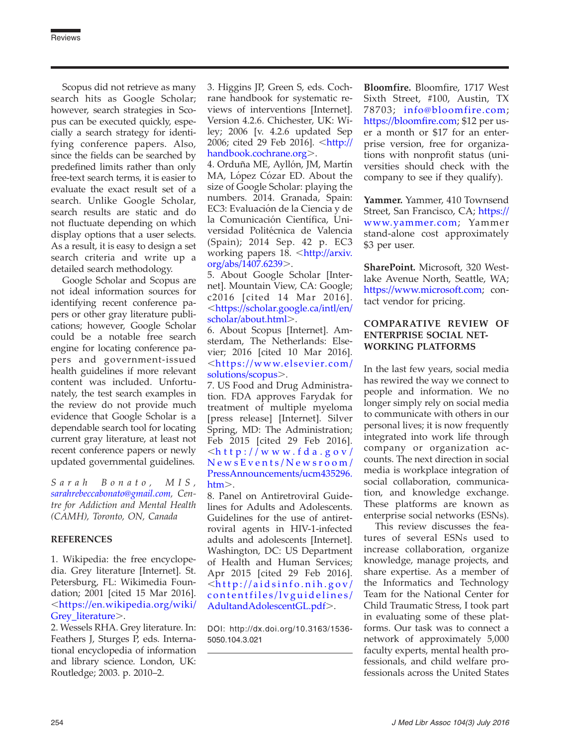Scopus did not retrieve as many search hits as Google Scholar; however, search strategies in Scopus can be executed quickly, especially a search strategy for identifying conference papers. Also, since the fields can be searched by predefined limits rather than only free-text search terms, it is easier to evaluate the exact result set of a search. Unlike Google Scholar, search results are static and do not fluctuate depending on which display options that a user selects. As a result, it is easy to design a set search criteria and write up a detailed search methodology.

Google Scholar and Scopus are not ideal information sources for identifying recent conference papers or other gray literature publications; however, Google Scholar could be a notable free search engine for locating conference papers and government-issued health guidelines if more relevant content was included. Unfortunately, the test search examples in the review do not provide much evidence that Google Scholar is a dependable search tool for locating current gray literature, at least not recent conference papers or newly updated governmental guidelines.

Sarah Bonato, MIS, [sarahrebeccabonato@gmail.com](mailto:sarahrebeccabonato@gmail.com), Centre for Addiction and Mental Health (CAMH), Toronto, ON, Canada

## REFERENCES

1. Wikipedia: the free encyclopedia. Grey literature [Internet]. St. Petersburg, FL: Wikimedia Foundation; 2001 [cited 15 Mar 2016]. ,[https://en.wikipedia.org/wiki/](https://en.wikipedia.org/wiki/Grey_literature) [Grey\\_literature](https://en.wikipedia.org/wiki/Grey_literature)>.

2. Wessels RHA. Grey literature. In: Feathers J, Sturges P, eds. International encyclopedia of information and library science. London, UK: Routledge; 2003. p. 2010–2.

3. Higgins JP, Green S, eds. Cochrane handbook for systematic reviews of interventions [Internet]. Version 4.2.6. Chichester, UK: Wiley; 2006 [v. 4.2.6 updated Sep 2006; cited 29 Feb 2016]. <[http://](http://handbook.cochrane.org) [handbook.cochrane.org](http://handbook.cochrane.org)>.

4. Orduña ME, Ayllón, JM, Martín MA, López Cózar ED. About the size of Google Scholar: playing the numbers. 2014. Granada, Spain: EC3: Evaluación de la Ciencia y de la Comunicación Científica, Universidad Politécnica de Valencia (Spain); 2014 Sep. 42 p. EC3 working papers 18. <[http://arxiv.](http://arxiv.org/abs/1407.6239) [org/abs/1407.6239](http://arxiv.org/abs/1407.6239)>.

5. About Google Scholar [Internet]. Mountain View, CA: Google; c2016 [cited 14 Mar 2016]. ,[https://scholar.google.ca/intl/en/](https://scholar.google.ca/intl/en/scholar/about.html) [scholar/about.html](https://scholar.google.ca/intl/en/scholar/about.html)>.

6. About Scopus [Internet]. Amsterdam, The Netherlands: Elsevier; 2016 [cited 10 Mar 2016].  $\lt$ https://www.elsevier.com/ [solutions/scopus](https://www.elsevier.com/solutions/scopus)...

7. US Food and Drug Administration. FDA approves Farydak for treatment of multiple myeloma [press release] [Internet]. Silver Spring, MD: The Administration; Feb 2015 [cited 29 Feb 2016].  $\frac{1}{\sinh(\theta)}$  //www.fda.gov/ [NewsEvents/Newsroom/](http://www.fda.gov/NewsEvents/Newsroom/PressAnnouncements/ucm435296.htm) [PressAnnouncements/ucm435296.](http://www.fda.gov/NewsEvents/Newsroom/PressAnnouncements/ucm435296.htm)  $\text{htm}$  $\text{htm}$  $\text{htm}$ .

8. Panel on Antiretroviral Guidelines for Adults and Adolescents. Guidelines for the use of antiretroviral agents in HIV-1-infected adults and adolescents [Internet]. Washington, DC: US Department of Health and Human Services; Apr 2015 [cited 29 Feb 2016].  $\langle$ [http://aidsinfo.nih.gov/](http://aidsinfo.nih.gov/contentfiles/lvguidelines/AdultandAdolescentGL.pdf) [contentfiles/lvguidelines/](http://aidsinfo.nih.gov/contentfiles/lvguidelines/AdultandAdolescentGL.pdf) [AdultandAdolescentGL.pdf](http://aidsinfo.nih.gov/contentfiles/lvguidelines/AdultandAdolescentGL.pdf)>.

DOI: http://dx.doi.org/10.3163/1536- 5050.104.3.021

Bloomfire. Bloomfire, 1717 West Sixth Street, #100, Austin, TX 78703; [info@bloomfire.com;](mailto:info@bloomfire.com) <https://bloomfire.com>; \$12 per user a month or \$17 for an enterprise version, free for organizations with nonprofit status (universities should check with the company to see if they qualify).

Yammer. Yammer, 410 Townsend Street, San Francisco, CA; [https://](https://www.yammer.com) [www.yammer.com;](https://www.yammer.com) Yammer stand-alone cost approximately \$3 per user.

SharePoint. Microsoft, 320 Westlake Avenue North, Seattle, WA; [https://www.microsoft.com;](https://www.microsoft.com) contact vendor for pricing.

## COMPARATIVE REVIEW OF ENTERPRISE SOCIAL NET-WORKING PLATFORMS

In the last few years, social media has rewired the way we connect to people and information. We no longer simply rely on social media to communicate with others in our personal lives; it is now frequently integrated into work life through company or organization accounts. The next direction in social media is workplace integration of social collaboration, communication, and knowledge exchange. These platforms are known as enterprise social networks (ESNs).

This review discusses the features of several ESNs used to increase collaboration, organize knowledge, manage projects, and share expertise. As a member of the Informatics and Technology Team for the National Center for Child Traumatic Stress, I took part in evaluating some of these platforms. Our task was to connect a network of approximately 5,000 faculty experts, mental health professionals, and child welfare professionals across the United States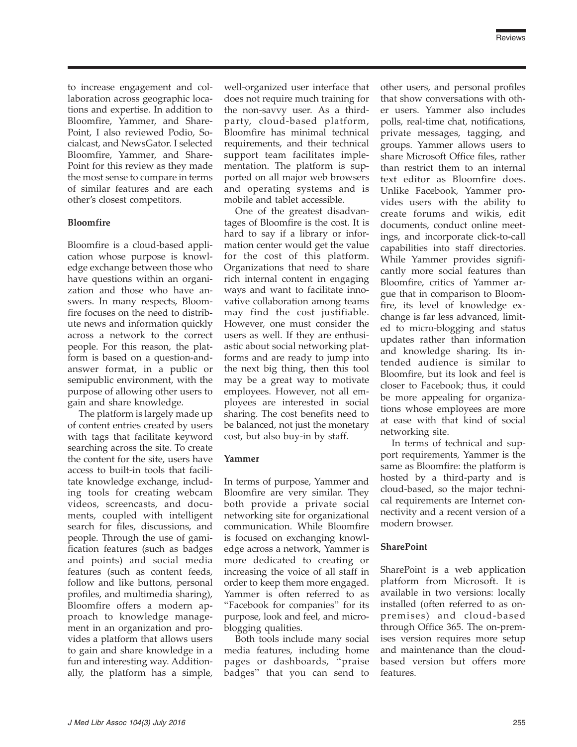to increase engagement and collaboration across geographic locations and expertise. In addition to Bloomfire, Yammer, and Share-Point, I also reviewed Podio, Socialcast, and NewsGator. I selected Bloomfire, Yammer, and Share-Point for this review as they made the most sense to compare in terms of similar features and are each other's closest competitors.

## Bloomfire

Bloomfire is a cloud-based application whose purpose is knowledge exchange between those who have questions within an organization and those who have answers. In many respects, Bloomfire focuses on the need to distribute news and information quickly across a network to the correct people. For this reason, the platform is based on a question-andanswer format, in a public or semipublic environment, with the purpose of allowing other users to gain and share knowledge.

The platform is largely made up of content entries created by users with tags that facilitate keyword searching across the site. To create the content for the site, users have access to built-in tools that facilitate knowledge exchange, including tools for creating webcam videos, screencasts, and documents, coupled with intelligent search for files, discussions, and people. Through the use of gamification features (such as badges and points) and social media features (such as content feeds, follow and like buttons, personal profiles, and multimedia sharing), Bloomfire offers a modern approach to knowledge management in an organization and provides a platform that allows users to gain and share knowledge in a fun and interesting way. Additionally, the platform has a simple,

well-organized user interface that does not require much training for the non-savvy user. As a thirdparty, cloud-based platform, Bloomfire has minimal technical requirements, and their technical support team facilitates implementation. The platform is supported on all major web browsers and operating systems and is mobile and tablet accessible.

One of the greatest disadvantages of Bloomfire is the cost. It is hard to say if a library or information center would get the value for the cost of this platform. Organizations that need to share rich internal content in engaging ways and want to facilitate innovative collaboration among teams may find the cost justifiable. However, one must consider the users as well. If they are enthusiastic about social networking platforms and are ready to jump into the next big thing, then this tool may be a great way to motivate employees. However, not all employees are interested in social sharing. The cost benefits need to be balanced, not just the monetary cost, but also buy-in by staff.

#### Yammer

In terms of purpose, Yammer and Bloomfire are very similar. They both provide a private social networking site for organizational communication. While Bloomfire is focused on exchanging knowledge across a network, Yammer is more dedicated to creating or increasing the voice of all staff in order to keep them more engaged. Yammer is often referred to as ''Facebook for companies'' for its purpose, look and feel, and microblogging qualities.

Both tools include many social media features, including home pages or dashboards, ''praise badges'' that you can send to

other users, and personal profiles that show conversations with other users. Yammer also includes polls, real-time chat, notifications, private messages, tagging, and groups. Yammer allows users to share Microsoft Office files, rather than restrict them to an internal text editor as Bloomfire does. Unlike Facebook, Yammer provides users with the ability to create forums and wikis, edit documents, conduct online meetings, and incorporate click-to-call capabilities into staff directories. While Yammer provides significantly more social features than Bloomfire, critics of Yammer argue that in comparison to Bloomfire, its level of knowledge exchange is far less advanced, limited to micro-blogging and status updates rather than information and knowledge sharing. Its intended audience is similar to Bloomfire, but its look and feel is closer to Facebook; thus, it could be more appealing for organizations whose employees are more at ease with that kind of social networking site.

In terms of technical and support requirements, Yammer is the same as Bloomfire: the platform is hosted by a third-party and is cloud-based, so the major technical requirements are Internet connectivity and a recent version of a modern browser.

## **SharePoint**

SharePoint is a web application platform from Microsoft. It is available in two versions: locally installed (often referred to as onpremises) and cloud-based through Office 365. The on-premises version requires more setup and maintenance than the cloudbased version but offers more features.